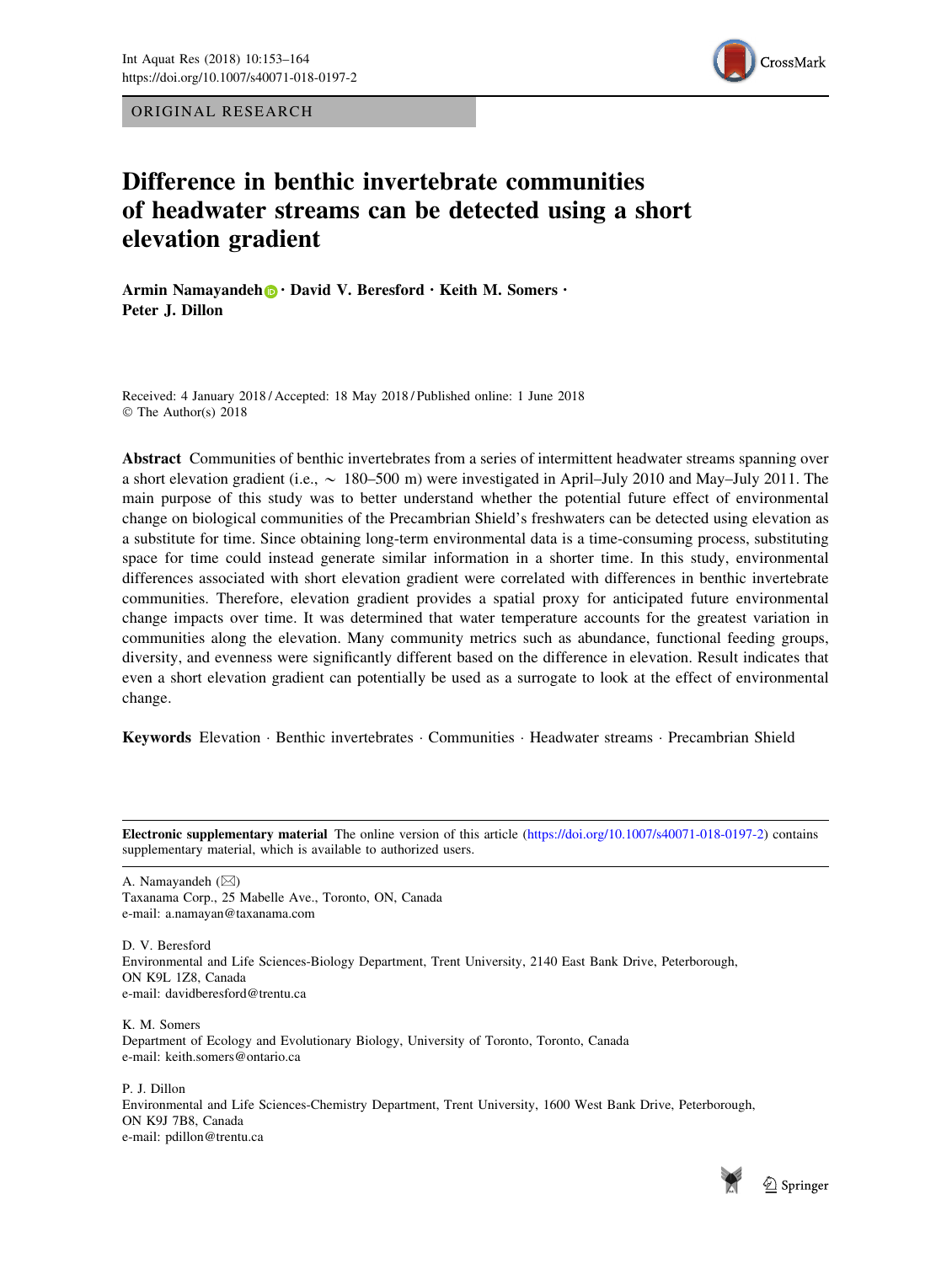ORIGINAL RESEARCH



# Difference in benthic invertebrate communities of headwater streams can be detected using a short elevation gradient

Armin Namayandeh **D** · David V[.](http://orcid.org/0000-0003-2136-0497) Beresford · Keith M. Somers · Peter J. Dillon

Received: 4 January 2018 / Accepted: 18 May 2018 / Published online: 1 June 2018 © The Author(s) 2018

Abstract Communities of benthic invertebrates from a series of intermittent headwater streams spanning over a short elevation gradient (i.e.,  $\sim 180-500$  m) were investigated in April–July 2010 and May–July 2011. The main purpose of this study was to better understand whether the potential future effect of environmental change on biological communities of the Precambrian Shield's freshwaters can be detected using elevation as a substitute for time. Since obtaining long-term environmental data is a time-consuming process, substituting space for time could instead generate similar information in a shorter time. In this study, environmental differences associated with short elevation gradient were correlated with differences in benthic invertebrate communities. Therefore, elevation gradient provides a spatial proxy for anticipated future environmental change impacts over time. It was determined that water temperature accounts for the greatest variation in communities along the elevation. Many community metrics such as abundance, functional feeding groups, diversity, and evenness were significantly different based on the difference in elevation. Result indicates that even a short elevation gradient can potentially be used as a surrogate to look at the effect of environmental change.

Keywords Elevation · Benthic invertebrates · Communities · Headwater streams · Precambrian Shield

Electronic supplementary material The online version of this article [\(https://doi.org/10.1007/s40071-018-0197-2\)](https://doi.org/10.1007/s40071-018-0197-2) contains supplementary material, which is available to authorized users.

A. Namayandeh  $(\boxtimes)$ Taxanama Corp., 25 Mabelle Ave., Toronto, ON, Canada e-mail: a.namayan@taxanama.com

D. V. Beresford Environmental and Life Sciences-Biology Department, Trent University, 2140 East Bank Drive, Peterborough, ON K9L 1Z8, Canada e-mail: davidberesford@trentu.ca

K. M. Somers Department of Ecology and Evolutionary Biology, University of Toronto, Toronto, Canada e-mail: keith.somers@ontario.ca

P. J. Dillon Environmental and Life Sciences-Chemistry Department, Trent University, 1600 West Bank Drive, Peterborough, ON K9J 7B8, Canada e-mail: pdillon@trentu.ca

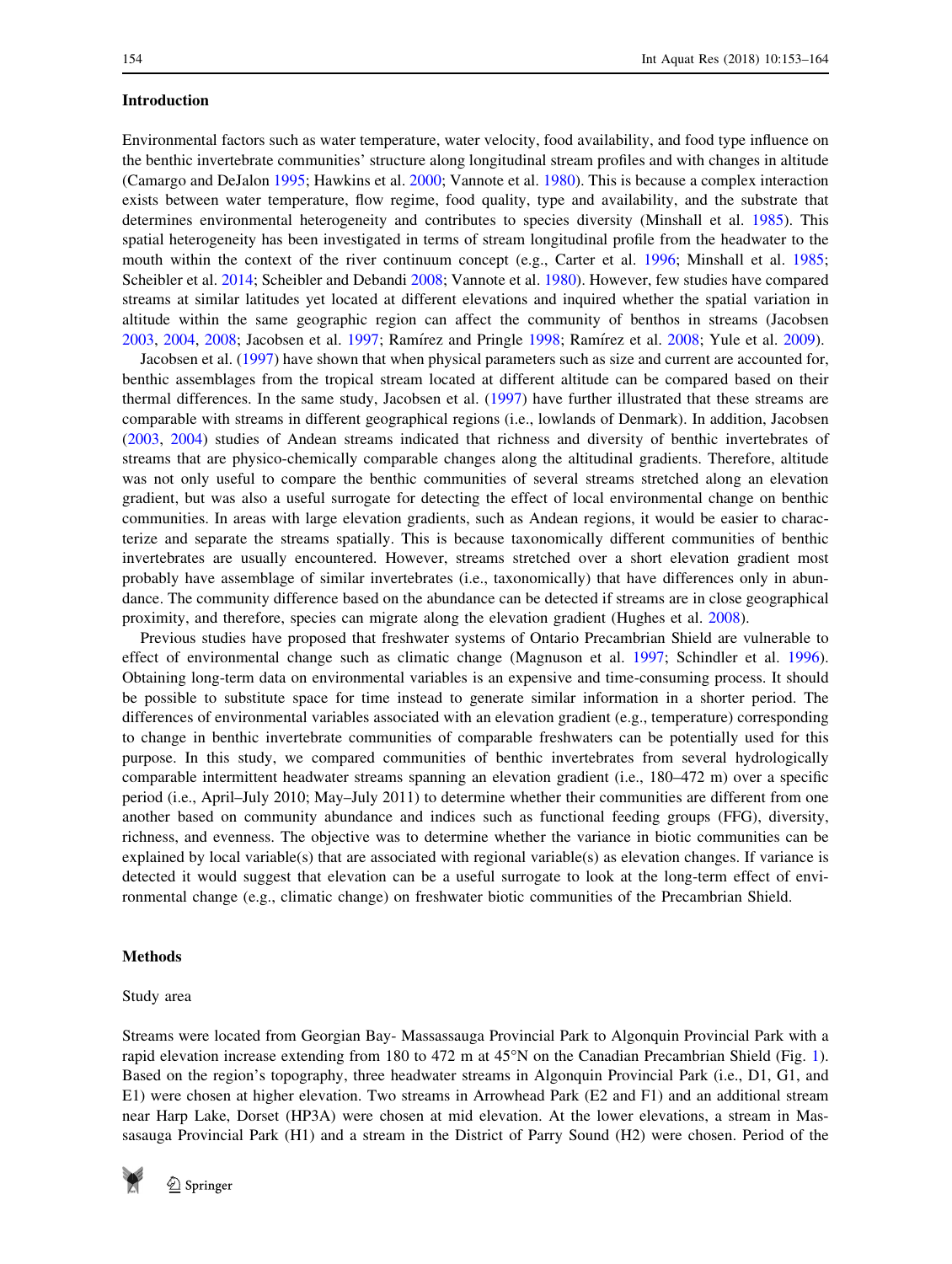### Introduction

Environmental factors such as water temperature, water velocity, food availability, and food type influence on the benthic invertebrate communities' structure along longitudinal stream profiles and with changes in altitude (Camargo and DeJalon [1995](#page-9-0); Hawkins et al. [2000](#page-10-0); Vannote et al. [1980\)](#page-11-0). This is because a complex interaction exists between water temperature, flow regime, food quality, type and availability, and the substrate that determines environmental heterogeneity and contributes to species diversity (Minshall et al. [1985\)](#page-10-0). This spatial heterogeneity has been investigated in terms of stream longitudinal profile from the headwater to the mouth within the context of the river continuum concept (e.g., Carter et al. [1996;](#page-9-0) Minshall et al. [1985;](#page-10-0) Scheibler et al. [2014;](#page-10-0) Scheibler and Debandi [2008](#page-10-0); Vannote et al. [1980\)](#page-11-0). However, few studies have compared streams at similar latitudes yet located at different elevations and inquired whether the spatial variation in altitude within the same geographic region can affect the community of benthos in streams (Jacobsen [2003](#page-10-0), [2004](#page-10-0), [2008](#page-10-0); Jacobsen et al. [1997](#page-10-0); Ramı´rez and Pringle [1998;](#page-10-0) Ramı´rez et al. [2008;](#page-10-0) Yule et al. [2009](#page-11-0)).

Jacobsen et al. [\(1997](#page-10-0)) have shown that when physical parameters such as size and current are accounted for, benthic assemblages from the tropical stream located at different altitude can be compared based on their thermal differences. In the same study, Jacobsen et al. ([1997\)](#page-10-0) have further illustrated that these streams are comparable with streams in different geographical regions (i.e., lowlands of Denmark). In addition, Jacobsen ([2003,](#page-10-0) [2004\)](#page-10-0) studies of Andean streams indicated that richness and diversity of benthic invertebrates of streams that are physico-chemically comparable changes along the altitudinal gradients. Therefore, altitude was not only useful to compare the benthic communities of several streams stretched along an elevation gradient, but was also a useful surrogate for detecting the effect of local environmental change on benthic communities. In areas with large elevation gradients, such as Andean regions, it would be easier to characterize and separate the streams spatially. This is because taxonomically different communities of benthic invertebrates are usually encountered. However, streams stretched over a short elevation gradient most probably have assemblage of similar invertebrates (i.e., taxonomically) that have differences only in abundance. The community difference based on the abundance can be detected if streams are in close geographical proximity, and therefore, species can migrate along the elevation gradient (Hughes et al. [2008](#page-10-0)).

Previous studies have proposed that freshwater systems of Ontario Precambrian Shield are vulnerable to effect of environmental change such as climatic change (Magnuson et al. [1997;](#page-10-0) Schindler et al. [1996\)](#page-10-0). Obtaining long-term data on environmental variables is an expensive and time-consuming process. It should be possible to substitute space for time instead to generate similar information in a shorter period. The differences of environmental variables associated with an elevation gradient (e.g., temperature) corresponding to change in benthic invertebrate communities of comparable freshwaters can be potentially used for this purpose. In this study, we compared communities of benthic invertebrates from several hydrologically comparable intermittent headwater streams spanning an elevation gradient (i.e., 180–472 m) over a specific period (i.e., April–July 2010; May–July 2011) to determine whether their communities are different from one another based on community abundance and indices such as functional feeding groups (FFG), diversity, richness, and evenness. The objective was to determine whether the variance in biotic communities can be explained by local variable(s) that are associated with regional variable(s) as elevation changes. If variance is detected it would suggest that elevation can be a useful surrogate to look at the long-term effect of environmental change (e.g., climatic change) on freshwater biotic communities of the Precambrian Shield.

# Methods

#### Study area

Streams were located from Georgian Bay- Massassauga Provincial Park to Algonquin Provincial Park with a rapid elevation increase extending from 180 to 472 m at 45°N on the Canadian Precambrian Shield (Fig. [1\)](#page-2-0). Based on the region's topography, three headwater streams in Algonquin Provincial Park (i.e., D1, G1, and E1) were chosen at higher elevation. Two streams in Arrowhead Park (E2 and F1) and an additional stream near Harp Lake, Dorset (HP3A) were chosen at mid elevation. At the lower elevations, a stream in Massasauga Provincial Park (H1) and a stream in the District of Parry Sound (H2) were chosen. Period of the

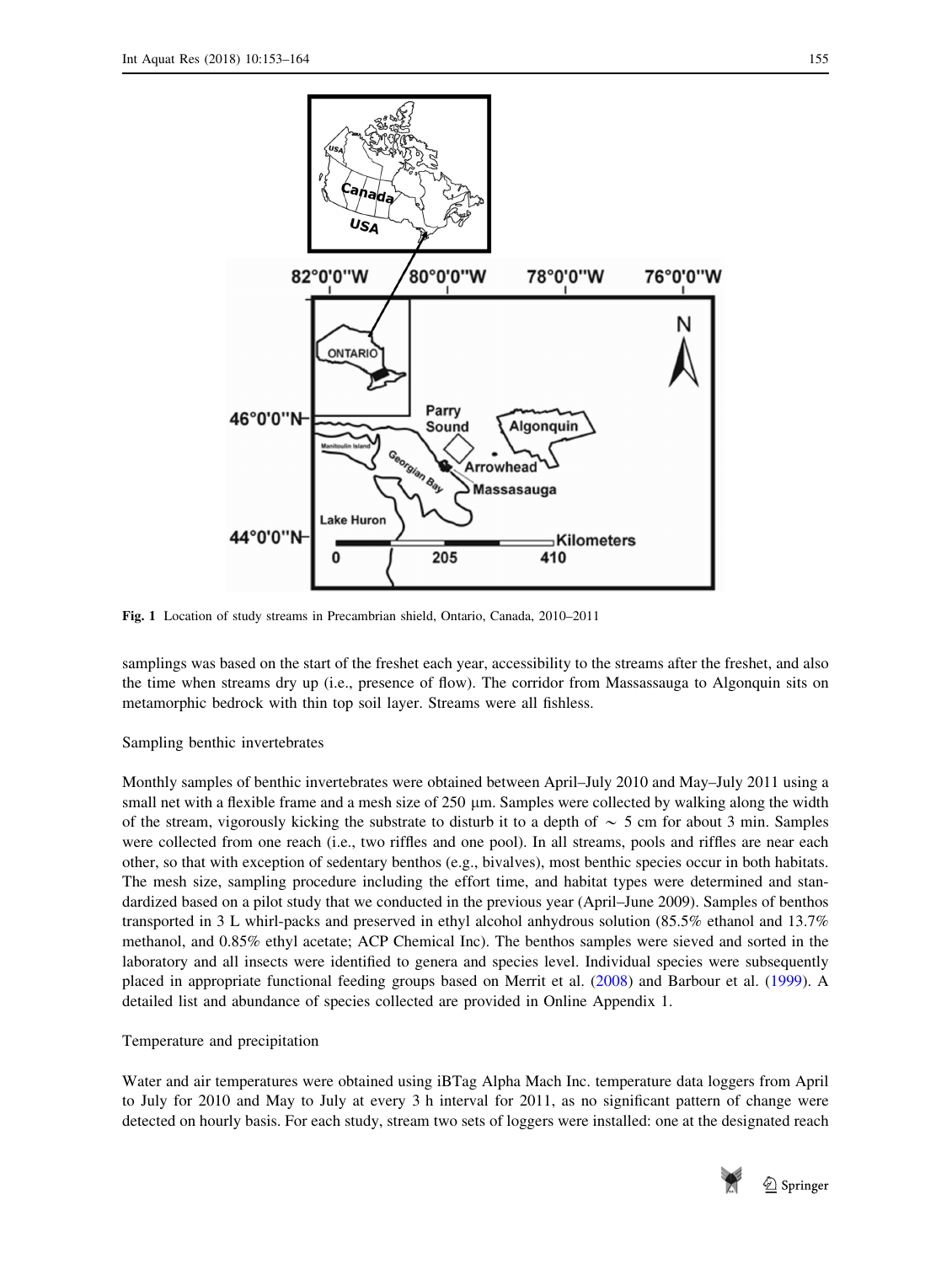<span id="page-2-0"></span>

Fig. 1 Location of study streams in Precambrian shield, Ontario, Canada, 2010–2011

samplings was based on the start of the freshet each year, accessibility to the streams after the freshet, and also the time when streams dry up (i.e., presence of flow). The corridor from Massassauga to Algonquin sits on metamorphic bedrock with thin top soil layer. Streams were all fishless.

# Sampling benthic invertebrates

Monthly samples of benthic invertebrates were obtained between April–July 2010 and May–July 2011 using a small net with a flexible frame and a mesh size of  $250 \mu m$ . Samples were collected by walking along the width of the stream, vigorously kicking the substrate to disturb it to a depth of  $\sim$  5 cm for about 3 min. Samples were collected from one reach (i.e., two riffles and one pool). In all streams, pools and riffles are near each other, so that with exception of sedentary benthos (e.g., bivalves), most benthic species occur in both habitats. The mesh size, sampling procedure including the effort time, and habitat types were determined and standardized based on a pilot study that we conducted in the previous year (April–June 2009). Samples of benthos transported in 3 L whirl-packs and preserved in ethyl alcohol anhydrous solution (85.5% ethanol and 13.7% methanol, and 0.85% ethyl acetate; ACP Chemical Inc). The benthos samples were sieved and sorted in the laboratory and all insects were identified to genera and species level. Individual species were subsequently placed in appropriate functional feeding groups based on Merrit et al. ([2008\)](#page-10-0) and Barbour et al. [\(1999](#page-9-0)). A detailed list and abundance of species collected are provided in Online Appendix 1.

# Temperature and precipitation

Water and air temperatures were obtained using iBTag Alpha Mach Inc. temperature data loggers from April to July for 2010 and May to July at every 3 h interval for 2011, as no significant pattern of change were detected on hourly basis. For each study, stream two sets of loggers were installed: one at the designated reach



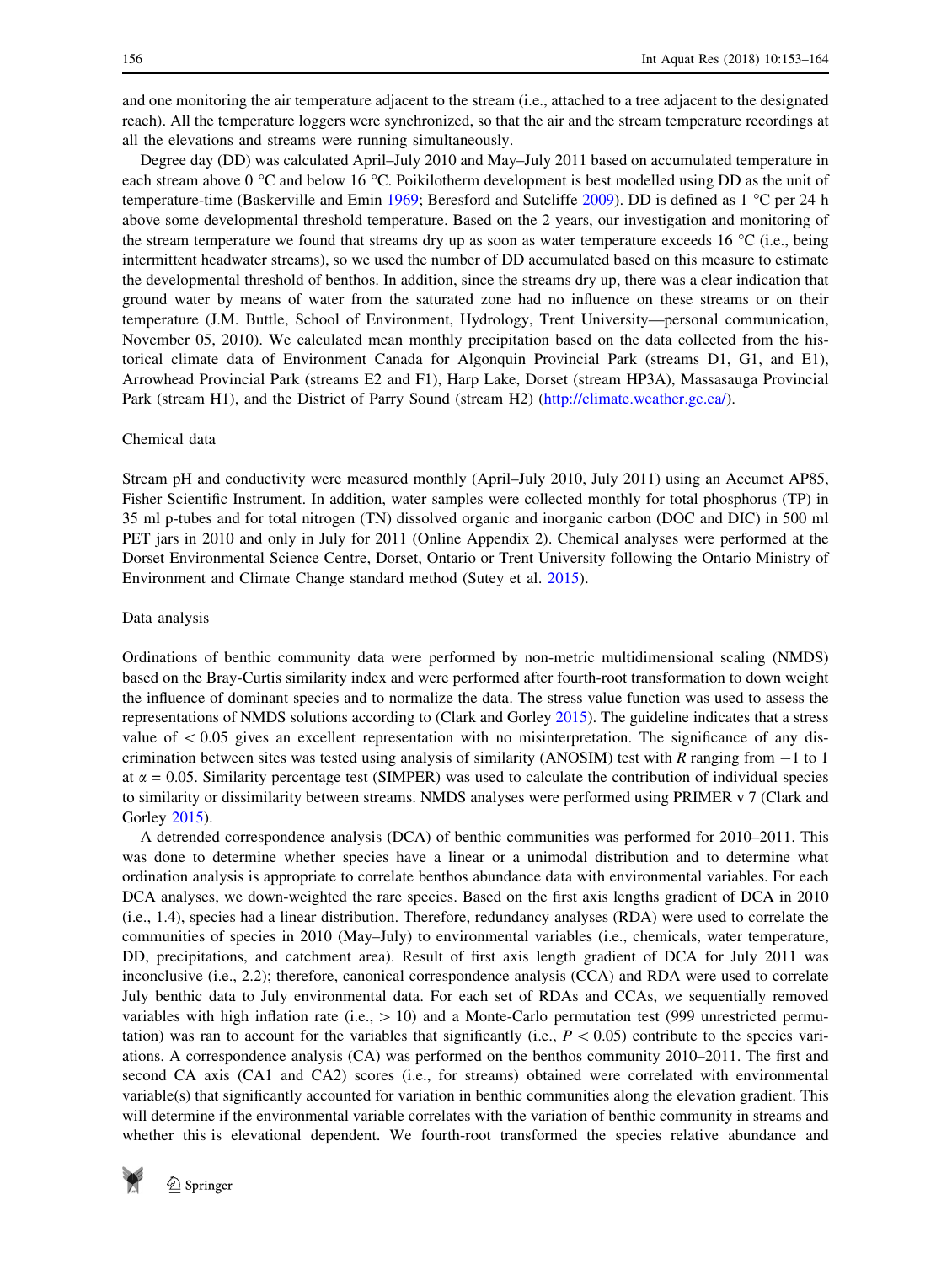and one monitoring the air temperature adjacent to the stream (i.e., attached to a tree adjacent to the designated reach). All the temperature loggers were synchronized, so that the air and the stream temperature recordings at all the elevations and streams were running simultaneously.

Degree day (DD) was calculated April–July 2010 and May–July 2011 based on accumulated temperature in each stream above 0  $\degree$ C and below 16  $\degree$ C. Poikilotherm development is best modelled using DD as the unit of temperature-time (Baskerville and Emin [1969](#page-9-0); Beresford and Sutcliffe [2009](#page-9-0)). DD is defined as  $1 \degree C$  per 24 h above some developmental threshold temperature. Based on the 2 years, our investigation and monitoring of the stream temperature we found that streams dry up as soon as water temperature exceeds 16  $^{\circ}C$  (i.e., being intermittent headwater streams), so we used the number of DD accumulated based on this measure to estimate the developmental threshold of benthos. In addition, since the streams dry up, there was a clear indication that ground water by means of water from the saturated zone had no influence on these streams or on their temperature (J.M. Buttle, School of Environment, Hydrology, Trent University—personal communication, November 05, 2010). We calculated mean monthly precipitation based on the data collected from the historical climate data of Environment Canada for Algonquin Provincial Park (streams D1, G1, and E1), Arrowhead Provincial Park (streams E2 and F1), Harp Lake, Dorset (stream HP3A), Massasauga Provincial Park (stream H1), and the District of Parry Sound (stream H2) [\(http://climate.weather.gc.ca/\)](http://climate.weather.gc.ca/).

# Chemical data

Stream pH and conductivity were measured monthly (April–July 2010, July 2011) using an Accumet AP85, Fisher Scientific Instrument. In addition, water samples were collected monthly for total phosphorus (TP) in 35 ml p-tubes and for total nitrogen (TN) dissolved organic and inorganic carbon (DOC and DIC) in 500 ml PET jars in 2010 and only in July for 2011 (Online Appendix 2). Chemical analyses were performed at the Dorset Environmental Science Centre, Dorset, Ontario or Trent University following the Ontario Ministry of Environment and Climate Change standard method (Sutey et al. [2015\)](#page-11-0).

#### Data analysis

Ordinations of benthic community data were performed by non-metric multidimensional scaling (NMDS) based on the Bray-Curtis similarity index and were performed after fourth-root transformation to down weight the influence of dominant species and to normalize the data. The stress value function was used to assess the representations of NMDS solutions according to (Clark and Gorley [2015\)](#page-9-0). The guideline indicates that a stress value of  $\lt$  0.05 gives an excellent representation with no misinterpretation. The significance of any discrimination between sites was tested using analysis of similarity (ANOSIM) test with R ranging from  $-1$  to 1 at  $\alpha$  = 0.05. Similarity percentage test (SIMPER) was used to calculate the contribution of individual species to similarity or dissimilarity between streams. NMDS analyses were performed using PRIMER v 7 (Clark and Gorley [2015\)](#page-9-0).

A detrended correspondence analysis (DCA) of benthic communities was performed for 2010–2011. This was done to determine whether species have a linear or a unimodal distribution and to determine what ordination analysis is appropriate to correlate benthos abundance data with environmental variables. For each DCA analyses, we down-weighted the rare species. Based on the first axis lengths gradient of DCA in 2010 (i.e., 1.4), species had a linear distribution. Therefore, redundancy analyses (RDA) were used to correlate the communities of species in 2010 (May–July) to environmental variables (i.e., chemicals, water temperature, DD, precipitations, and catchment area). Result of first axis length gradient of DCA for July 2011 was inconclusive (i.e., 2.2); therefore, canonical correspondence analysis (CCA) and RDA were used to correlate July benthic data to July environmental data. For each set of RDAs and CCAs, we sequentially removed variables with high inflation rate (i.e.,  $> 10$ ) and a Monte-Carlo permutation test (999 unrestricted permutation) was ran to account for the variables that significantly (i.e.,  $P < 0.05$ ) contribute to the species variations. A correspondence analysis (CA) was performed on the benthos community 2010–2011. The first and second CA axis (CA1 and CA2) scores (i.e., for streams) obtained were correlated with environmental variable(s) that significantly accounted for variation in benthic communities along the elevation gradient. This will determine if the environmental variable correlates with the variation of benthic community in streams and whether this is elevational dependent. We fourth-root transformed the species relative abundance and

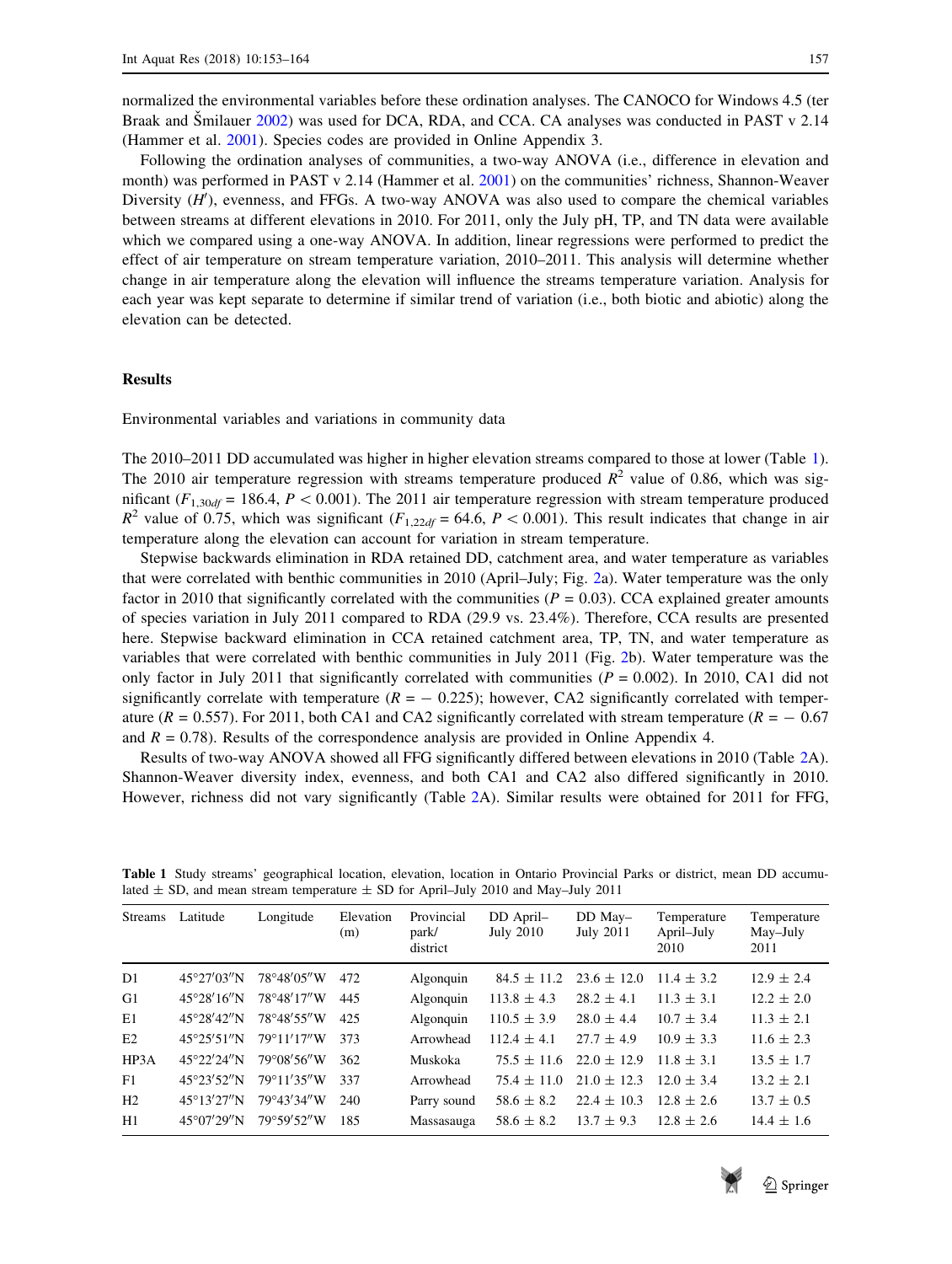normalized the environmental variables before these ordination analyses. The CANOCO for Windows 4.5 (ter Braak and Smilauer [2002](#page-11-0)) was used for DCA, RDA, and CCA. CA analyses was conducted in PAST v 2.14 (Hammer et al. [2001\)](#page-10-0). Species codes are provided in Online Appendix 3.

Following the ordination analyses of communities, a two-way ANOVA (i.e., difference in elevation and month) was performed in PAST v 2.14 (Hammer et al. [2001\)](#page-10-0) on the communities' richness, Shannon-Weaver Diversity  $(H')$ , evenness, and FFGs. A two-way ANOVA was also used to compare the chemical variables between streams at different elevations in 2010. For 2011, only the July pH, TP, and TN data were available which we compared using a one-way ANOVA. In addition, linear regressions were performed to predict the effect of air temperature on stream temperature variation, 2010–2011. This analysis will determine whether change in air temperature along the elevation will influence the streams temperature variation. Analysis for each year was kept separate to determine if similar trend of variation (i.e., both biotic and abiotic) along the elevation can be detected.

# **Results**

Environmental variables and variations in community data

The 2010–2011 DD accumulated was higher in higher elevation streams compared to those at lower (Table 1). The 2010 air temperature regression with streams temperature produced  $R^2$  value of 0.86, which was significant ( $F_{1,30df} = 186.4$ ,  $P < 0.001$ ). The 2011 air temperature regression with stream temperature produced  $R^2$  value of 0.75, which was significant  $(F_{1,22df} = 64.6, P < 0.001)$ . This result indicates that change in air temperature along the elevation can account for variation in stream temperature.

Stepwise backwards elimination in RDA retained DD, catchment area, and water temperature as variables that were correlated with benthic communities in 2010 (April–July; Fig. [2](#page-5-0)a). Water temperature was the only factor in 2010 that significantly correlated with the communities ( $P = 0.03$ ). CCA explained greater amounts of species variation in July 2011 compared to RDA (29.9 vs. 23.4%). Therefore, CCA results are presented here. Stepwise backward elimination in CCA retained catchment area, TP, TN, and water temperature as variables that were correlated with benthic communities in July 2011 (Fig. [2b](#page-5-0)). Water temperature was the only factor in July 2011 that significantly correlated with communities ( $P = 0.002$ ). In 2010, CA1 did not significantly correlate with temperature  $(R = -0.225)$ ; however, CA2 significantly correlated with temperature ( $R = 0.557$ ). For 2011, both CA1 and CA2 significantly correlated with stream temperature ( $R = -0.67$ ) and  $R = 0.78$ ). Results of the correspondence analysis are provided in Online Appendix 4.

Results of two-way ANOVA showed all FFG significantly differed between elevations in 2010 (Table [2A](#page-5-0)). Shannon-Weaver diversity index, evenness, and both CA1 and CA2 also differed significantly in 2010. However, richness did not vary significantly (Table [2A](#page-5-0)). Similar results were obtained for 2011 for FFG,

| <b>Streams</b>    | Latitude             | Longitude  | Elevation<br>(m) | Provincial<br>park/<br>district | DD April-<br><b>July 2010</b> | DD May-<br><b>July 2011</b> | Temperature<br>April–July<br>2010 | Temperature<br>May-July<br>2011 |
|-------------------|----------------------|------------|------------------|---------------------------------|-------------------------------|-----------------------------|-----------------------------------|---------------------------------|
| D <sub>1</sub>    | $45^{\circ}27'03''N$ | 78°48'05"W | 472              | Algonquin                       | $84.5 \pm 11.2$               | $23.6 \pm 12.0$             | $11.4 \pm 3.2$                    | $12.9 \pm 2.4$                  |
| G <sub>1</sub>    | $45^{\circ}28'16''N$ | 78°48'17"W | 445              | Algonquin                       | $113.8 \pm 4.3$               | $28.2 \pm 4.1$              | $11.3 \pm 3.1$                    | $12.2 \pm 2.0$                  |
| E1                | $45^{\circ}28'42''N$ | 78°48'55"W | 425              | Algonquin                       | $110.5 \pm 3.9$               | $28.0 \pm 4.4$              | $10.7 \pm 3.4$                    | $11.3 \pm 2.1$                  |
| E2                | $45^{\circ}25'51''N$ | 79°11'17"W | 373              | Arrowhead                       | $112.4 \pm 4.1$               | $27.7 \pm 4.9$              | $10.9 \pm 3.3$                    | $11.6 \pm 2.3$                  |
| HP <sub>3</sub> A | $45^{\circ}$ 22'24"N | 79°08'56"W | 362              | Muskoka                         | $75.5 \pm 11.6$               | $22.0 \pm 12.9$             | $11.8 \pm 3.1$                    | $13.5 \pm 1.7$                  |
| F1                | $45^{\circ}23'52''N$ | 79°11'35"W | 337              | Arrowhead                       | $75.4 + 11.0$                 | $21.0 \pm 12.3$             | $12.0 \pm 3.4$                    | $13.2 \pm 2.1$                  |
| H <sub>2</sub>    | $45^{\circ}13'27''N$ | 79°43'34"W | 240              | Parry sound                     | $58.6 \pm 8.2$                | $22.4 \pm 10.3$             | $12.8 \pm 2.6$                    | $13.7 \pm 0.5$                  |
| H1                | $45^{\circ}07'29''N$ | 79°59'52″W | 185              | Massasauga                      | $58.6 \pm 8.2$                | $13.7 \pm 9.3$              | $12.8 \pm 2.6$                    | $14.4 \pm 1.6$                  |

Table 1 Study streams' geographical location, elevation, location in Ontario Provincial Parks or district, mean DD accumulated  $\pm$  SD, and mean stream temperature  $\pm$  SD for April–July 2010 and May–July 2011

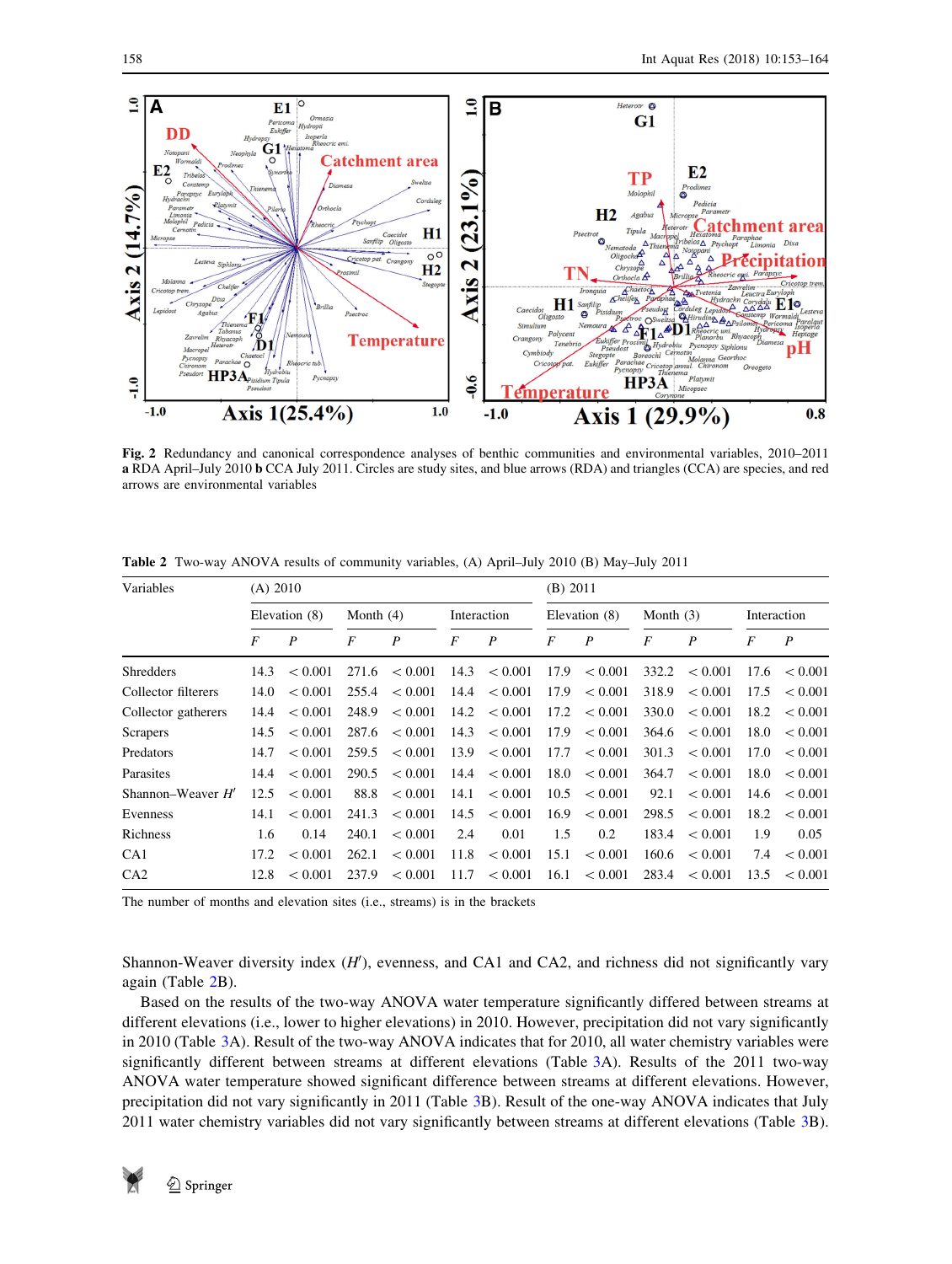<span id="page-5-0"></span>

Fig. 2 Redundancy and canonical correspondence analyses of benthic communities and environmental variables, 2010–2011 a RDA April–July 2010 b CCA July 2011. Circles are study sites, and blue arrows (RDA) and triangles (CCA) are species, and red arrows are environmental variables

| Variables           | (A) 2010      |         |             |                  |             |                   | (B) 2011      |                   |             |                  |             |                   |  |
|---------------------|---------------|---------|-------------|------------------|-------------|-------------------|---------------|-------------------|-------------|------------------|-------------|-------------------|--|
|                     | Elevation (8) |         | Month $(4)$ |                  | Interaction |                   | Elevation (8) |                   | Month $(3)$ |                  | Interaction |                   |  |
|                     | F             | P       | F           | $\boldsymbol{P}$ | F           | $\boldsymbol{P}$  | F             | $\boldsymbol{P}$  | F           | $\boldsymbol{P}$ | F           | $\boldsymbol{P}$  |  |
| <b>Shredders</b>    | 14.3          | < 0.001 | 271.6       | < 0.001          |             | $14.3 \leq 0.001$ | 17.9          | < 0.001           | 332.2       | < 0.001          |             | $17.6 \leq 0.001$ |  |
| Collector filterers | 14.0          | < 0.001 | 255.4       | < 0.001          | 14.4        | < 0.001           | 17.9          | ${}_{0.001}$      | 318.9       | < 0.001          | 17.5        | < 0.001           |  |
| Collector gatherers | 14.4          | < 0.001 | 248.9       | < 0.001          |             | $14.2 \leq 0.001$ |               | $17.2 \leq 0.001$ | 330.0       | < 0.001          |             | $18.2 \leq 0.001$ |  |
| <b>Scrapers</b>     | 14.5          | < 0.001 | 287.6       | < 0.001          | 14.3        | < 0.001           | 17.9          | < 0.001           | 364.6       | < 0.001          | 18.0        | < 0.001           |  |
| Predators           | 14.7          | < 0.001 | 259.5       | < 0.001          | 13.9        | < 0.001           | 17.7          | < 0.001           | 301.3       | < 0.001          | 17.0        | < 0.001           |  |
| Parasites           | 14.4          | < 0.001 | 290.5       | < 0.001          | 14.4        | ${}< 0.001$       | 18.0          | < 0.001           | 364.7       | < 0.001          | 18.0        | < 0.001           |  |
| Shannon–Weaver $H'$ | 12.5          | < 0.001 | 88.8        | < 0.001          | 14.1        | < 0.001           | 10.5          | ${}_{0.001}$      | 92.1        | < 0.001          | 14.6        | < 0.001           |  |
| Evenness            | 14.1          | < 0.001 | 241.3       | < 0.001          | 14.5        | < 0.001           | 16.9          | < 0.001           | 298.5       | < 0.001          | 18.2        | < 0.001           |  |
| Richness            | 1.6           | 0.14    | 240.1       | < 0.001          | 2.4         | 0.01              | 1.5           | 0.2               | 183.4       | < 0.001          | 1.9         | 0.05              |  |
| CA <sub>1</sub>     | 17.2          | < 0.001 | 262.1       | < 0.001          | 11.8        | < 0.001           | 15.1          | < 0.001           | 160.6       | < 0.001          | 7.4         | < 0.001           |  |
| CA2                 | 12.8          | < 0.001 | 237.9       | < 0.001          | 11.7        | < 0.001           | 16.1          | < 0.001           | 283.4       | < 0.001          | 13.5        | < 0.001           |  |

Table 2 Two-way ANOVA results of community variables, (A) April–July 2010 (B) May–July 2011

The number of months and elevation sites (i.e., streams) is in the brackets

Shannon-Weaver diversity index  $(H')$ , evenness, and CA1 and CA2, and richness did not significantly vary again (Table 2B).

Based on the results of the two-way ANOVA water temperature significantly differed between streams at different elevations (i.e., lower to higher elevations) in 2010. However, precipitation did not vary significantly in 2010 (Table [3](#page-6-0)A). Result of the two-way ANOVA indicates that for 2010, all water chemistry variables were significantly different between streams at different elevations (Table [3](#page-6-0)A). Results of the 2011 two-way ANOVA water temperature showed significant difference between streams at different elevations. However, precipitation did not vary significantly in 2011 (Table [3](#page-6-0)B). Result of the one-way ANOVA indicates that July 2011 water chemistry variables did not vary significantly between streams at different elevations (Table [3](#page-6-0)B).

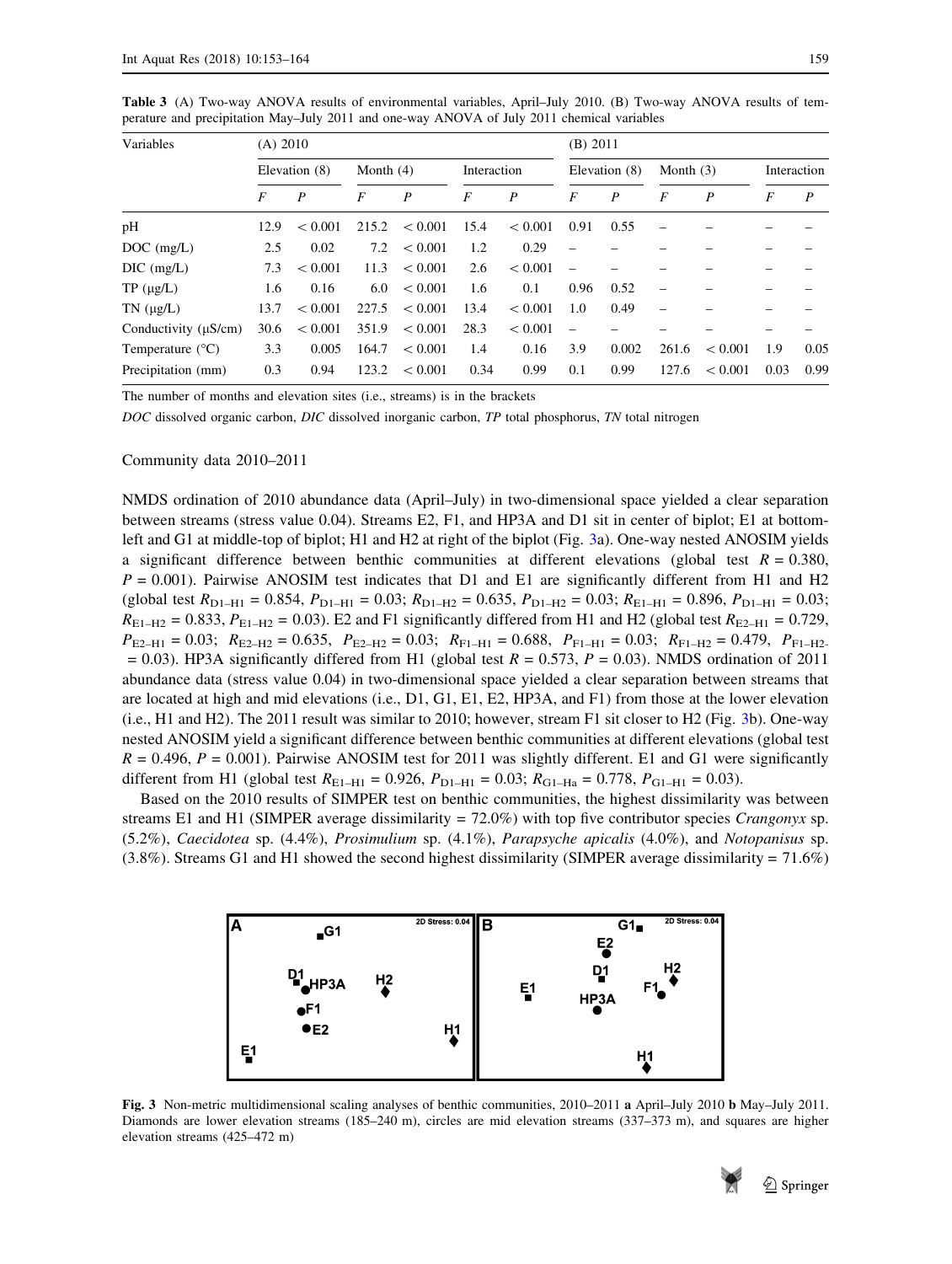| Variables                  | (A) 2010      |                  |             |                  |             |                  |                          | (B) 2011 |             |                  |             |                  |  |  |
|----------------------------|---------------|------------------|-------------|------------------|-------------|------------------|--------------------------|----------|-------------|------------------|-------------|------------------|--|--|
|                            | Elevation (8) |                  | Month $(4)$ |                  | Interaction |                  | Elevation (8)            |          | Month $(3)$ |                  | Interaction |                  |  |  |
|                            | F             | $\boldsymbol{P}$ | F           | $\boldsymbol{P}$ | F           | $\boldsymbol{P}$ | F                        | P        | F           | $\boldsymbol{P}$ | F           | $\boldsymbol{P}$ |  |  |
| pH                         | 12.9          | < 0.001          | 215.2       | < 0.001          | 15.4        | < 0.001          | 0.91                     | 0.55     |             |                  |             |                  |  |  |
| $DOC$ (mg/L)               | 2.5           | 0.02             | 7.2         | < 0.001          | 1.2         | 0.29             |                          |          |             |                  |             |                  |  |  |
| $DIC$ (mg/L)               | 7.3           | < 0.001          | 11.3        | < 0.001          | 2.6         | < 0.001          |                          |          |             |                  |             |                  |  |  |
| $TP(\mu g/L)$              | 1.6           | 0.16             | 6.0         | < 0.001          | 1.6         | 0.1              | 0.96                     | 0.52     |             |                  |             |                  |  |  |
| $TN$ ( $\mu$ g/L)          | 13.7          | < 0.001          | 227.5       | < 0.001          | 13.4        | < 0.001          | 1.0                      | 0.49     |             |                  |             |                  |  |  |
| Conductivity ( $\mu$ S/cm) | 30.6          | < 0.001          | 351.9       | < 0.001          | 28.3        | < 0.001          | $\overline{\phantom{0}}$ |          |             |                  |             |                  |  |  |
| Temperature $(^{\circ}C)$  | 3.3           | 0.005            | 164.7       | < 0.001          | 1.4         | 0.16             | 3.9                      | 0.002    | 261.6       | < 0.001          | 1.9         | 0.05             |  |  |
| Precipitation (mm)         | 0.3           | 0.94             | 123.2       | < 0.001          | 0.34        | 0.99             | 0.1                      | 0.99     | 127.6       | < 0.001          | 0.03        | 0.99             |  |  |

<span id="page-6-0"></span>Table 3 (A) Two-way ANOVA results of environmental variables, April–July 2010. (B) Two-way ANOVA results of temperature and precipitation May–July 2011 and one-way ANOVA of July 2011 chemical variables

The number of months and elevation sites (i.e., streams) is in the brackets

DOC dissolved organic carbon, DIC dissolved inorganic carbon, TP total phosphorus, TN total nitrogen

### Community data 2010–2011

NMDS ordination of 2010 abundance data (April–July) in two-dimensional space yielded a clear separation between streams (stress value 0.04). Streams E2, F1, and HP3A and D1 sit in center of biplot; E1 at bottomleft and G1 at middle-top of biplot; H1 and H2 at right of the biplot (Fig. 3a). One-way nested ANOSIM yields a significant difference between benthic communities at different elevations (global test  $R = 0.380$ ,  $P = 0.001$ ). Pairwise ANOSIM test indicates that D1 and E1 are significantly different from H1 and H2 (global test  $R_{\text{D1-H1}} = 0.854$ ,  $P_{\text{D1-H1}} = 0.03$ ;  $R_{\text{D1-H2}} = 0.635$ ,  $P_{\text{D1-H2}} = 0.03$ ;  $R_{\text{E1-H1}} = 0.896$ ,  $P_{\text{D1-H1}} = 0.03$ ;  $R_{E1-H2} = 0.833, P_{E1-H2} = 0.03$ ). E2 and F1 significantly differed from H1 and H2 (global test  $R_{E2-H1} = 0.729$ ,  $P_{\text{E2-H1}} = 0.03; R_{\text{E2-H2}} = 0.635, P_{\text{E2-H2}} = 0.03; R_{\text{F1-H1}} = 0.688, P_{\text{F1-H1}} = 0.03; R_{\text{F1-H2}} = 0.479, P_{\text{F1-H2}} = 0.635, P_{\text{F2-H3}} = 0.035, P_{\text{F3-H4}} = 0.035, P_{\text{F4-H5}} = 0.035, P_{\text{F5-H6}} = 0.035, P_{\text{F6-H7}} = 0.035, P_{\text{F7$  $= 0.03$ ). HP3A significantly differed from H1 (global test  $R = 0.573$ ,  $P = 0.03$ ). NMDS ordination of 2011 abundance data (stress value 0.04) in two-dimensional space yielded a clear separation between streams that are located at high and mid elevations (i.e., D1, G1, E1, E2, HP3A, and F1) from those at the lower elevation (i.e., H1 and H2). The 2011 result was similar to 2010; however, stream F1 sit closer to H2 (Fig. 3b). One-way nested ANOSIM yield a significant difference between benthic communities at different elevations (global test  $R = 0.496$ ,  $P = 0.001$ ). Pairwise ANOSIM test for 2011 was slightly different. E1 and G1 were significantly different from H1 (global test  $R_{\text{E1-H1}} = 0.926$ ,  $P_{\text{D1-H1}} = 0.03$ ;  $R_{\text{G1-Ha}} = 0.778$ ,  $P_{\text{G1-H1}} = 0.03$ ).

Based on the 2010 results of SIMPER test on benthic communities, the highest dissimilarity was between streams E1 and H1 (SIMPER average dissimilarity = 72.0%) with top five contributor species *Crangonyx* sp. (5.2%), Caecidotea sp. (4.4%), Prosimulium sp. (4.1%), Parapsyche apicalis (4.0%), and Notopanisus sp.  $(3.8\%)$ . Streams G1 and H1 showed the second highest dissimilarity (SIMPER average dissimilarity = 71.6%)



Fig. 3 Non-metric multidimensional scaling analyses of benthic communities, 2010–2011 a April–July 2010 b May–July 2011. Diamonds are lower elevation streams (185–240 m), circles are mid elevation streams (337–373 m), and squares are higher elevation streams (425–472 m)

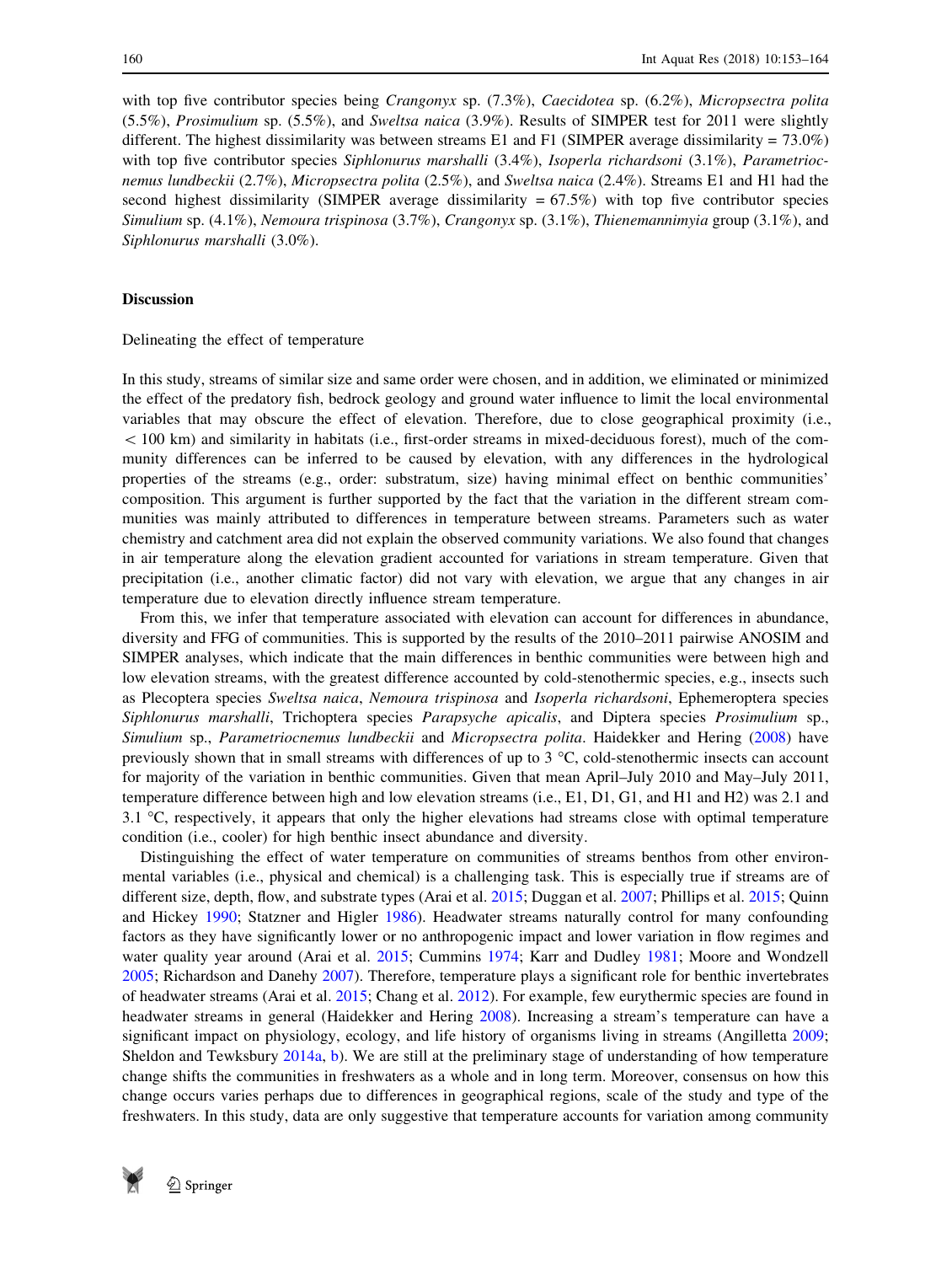with top five contributor species being *Crangonyx* sp. (7.3%), *Caecidotea* sp. (6.2%), *Micropsectra polita* (5.5%), Prosimulium sp. (5.5%), and Sweltsa naica (3.9%). Results of SIMPER test for 2011 were slightly different. The highest dissimilarity was between streams E1 and F1 (SIMPER average dissimilarity =  $73.0\%$ ) with top five contributor species Siphlonurus marshalli (3.4%), Isoperla richardsoni (3.1%), Parametriocnemus lundbeckii (2.7%), Micropsectra polita (2.5%), and Sweltsa naica (2.4%). Streams E1 and H1 had the second highest dissimilarity (SIMPER average dissimilarity  $= 67.5\%$ ) with top five contributor species Simulium sp. (4.1%), Nemoura trispinosa (3.7%), Crangonyx sp. (3.1%), Thienemannimyia group (3.1%), and Siphlonurus marshalli (3.0%).

# Discussion

### Delineating the effect of temperature

In this study, streams of similar size and same order were chosen, and in addition, we eliminated or minimized the effect of the predatory fish, bedrock geology and ground water influence to limit the local environmental variables that may obscure the effect of elevation. Therefore, due to close geographical proximity (i.e.,  $100$  km) and similarity in habitats (i.e., first-order streams in mixed-deciduous forest), much of the community differences can be inferred to be caused by elevation, with any differences in the hydrological properties of the streams (e.g., order: substratum, size) having minimal effect on benthic communities' composition. This argument is further supported by the fact that the variation in the different stream communities was mainly attributed to differences in temperature between streams. Parameters such as water chemistry and catchment area did not explain the observed community variations. We also found that changes in air temperature along the elevation gradient accounted for variations in stream temperature. Given that precipitation (i.e., another climatic factor) did not vary with elevation, we argue that any changes in air temperature due to elevation directly influence stream temperature.

From this, we infer that temperature associated with elevation can account for differences in abundance, diversity and FFG of communities. This is supported by the results of the 2010–2011 pairwise ANOSIM and SIMPER analyses, which indicate that the main differences in benthic communities were between high and low elevation streams, with the greatest difference accounted by cold-stenothermic species, e.g., insects such as Plecoptera species Sweltsa naica, Nemoura trispinosa and Isoperla richardsoni, Ephemeroptera species Siphlonurus marshalli, Trichoptera species Parapsyche apicalis, and Diptera species Prosimulium sp., Simulium sp., Parametriocnemus lundbeckii and Micropsectra polita. Haidekker and Hering [\(2008](#page-9-0)) have previously shown that in small streams with differences of up to  $3 \degree C$ , cold-stenothermic insects can account for majority of the variation in benthic communities. Given that mean April–July 2010 and May–July 2011, temperature difference between high and low elevation streams (i.e., E1, D1, G1, and H1 and H2) was 2.1 and 3.1  $^{\circ}$ C, respectively, it appears that only the higher elevations had streams close with optimal temperature condition (i.e., cooler) for high benthic insect abundance and diversity.

Distinguishing the effect of water temperature on communities of streams benthos from other environmental variables (i.e., physical and chemical) is a challenging task. This is especially true if streams are of different size, depth, flow, and substrate types (Arai et al. [2015](#page-9-0); Duggan et al. [2007;](#page-9-0) Phillips et al. [2015;](#page-10-0) Quinn and Hickey [1990](#page-10-0); Statzner and Higler [1986\)](#page-10-0). Headwater streams naturally control for many confounding factors as they have significantly lower or no anthropogenic impact and lower variation in flow regimes and water quality year around (Arai et al. [2015;](#page-9-0) Cummins [1974;](#page-9-0) Karr and Dudley [1981;](#page-10-0) Moore and Wondzell [2005](#page-10-0); Richardson and Danehy [2007\)](#page-10-0). Therefore, temperature plays a significant role for benthic invertebrates of headwater streams (Arai et al. [2015](#page-9-0); Chang et al. [2012](#page-9-0)). For example, few eurythermic species are found in headwater streams in general (Haidekker and Hering [2008](#page-9-0)). Increasing a stream's temperature can have a significant impact on physiology, ecology, and life history of organisms living in streams (Angilletta [2009;](#page-9-0) Sheldon and Tewksbury [2014a,](#page-10-0) [b](#page-10-0)). We are still at the preliminary stage of understanding of how temperature change shifts the communities in freshwaters as a whole and in long term. Moreover, consensus on how this change occurs varies perhaps due to differences in geographical regions, scale of the study and type of the freshwaters. In this study, data are only suggestive that temperature accounts for variation among community

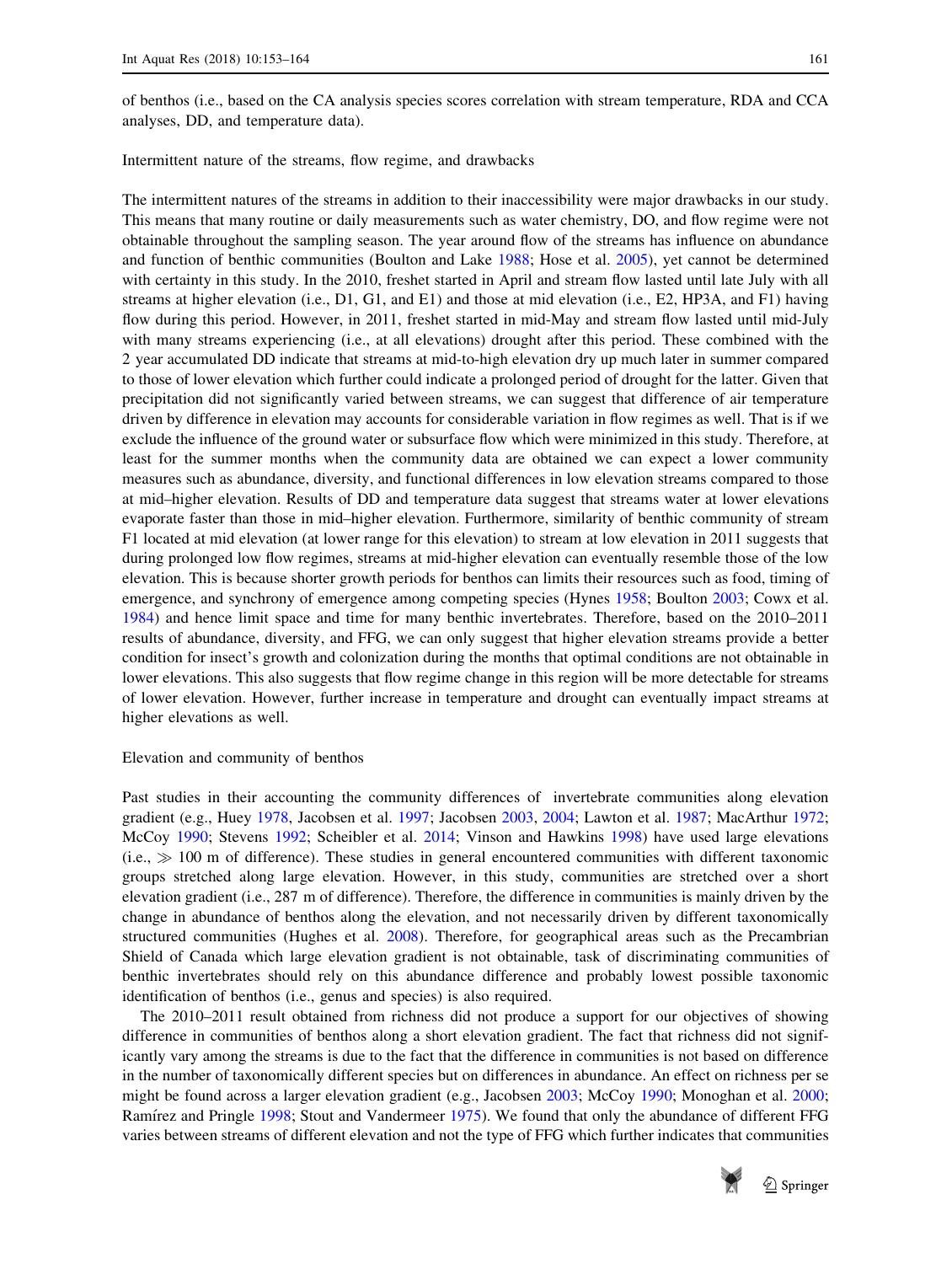of benthos (i.e., based on the CA analysis species scores correlation with stream temperature, RDA and CCA analyses, DD, and temperature data).

Intermittent nature of the streams, flow regime, and drawbacks

The intermittent natures of the streams in addition to their inaccessibility were major drawbacks in our study. This means that many routine or daily measurements such as water chemistry, DO, and flow regime were not obtainable throughout the sampling season. The year around flow of the streams has influence on abundance and function of benthic communities (Boulton and Lake [1988;](#page-9-0) Hose et al. [2005\)](#page-10-0), yet cannot be determined with certainty in this study. In the 2010, freshet started in April and stream flow lasted until late July with all streams at higher elevation (i.e., D1, G1, and E1) and those at mid elevation (i.e., E2, HP3A, and F1) having flow during this period. However, in 2011, freshet started in mid-May and stream flow lasted until mid-July with many streams experiencing (i.e., at all elevations) drought after this period. These combined with the 2 year accumulated DD indicate that streams at mid-to-high elevation dry up much later in summer compared to those of lower elevation which further could indicate a prolonged period of drought for the latter. Given that precipitation did not significantly varied between streams, we can suggest that difference of air temperature driven by difference in elevation may accounts for considerable variation in flow regimes as well. That is if we exclude the influence of the ground water or subsurface flow which were minimized in this study. Therefore, at least for the summer months when the community data are obtained we can expect a lower community measures such as abundance, diversity, and functional differences in low elevation streams compared to those at mid–higher elevation. Results of DD and temperature data suggest that streams water at lower elevations evaporate faster than those in mid–higher elevation. Furthermore, similarity of benthic community of stream F1 located at mid elevation (at lower range for this elevation) to stream at low elevation in 2011 suggests that during prolonged low flow regimes, streams at mid-higher elevation can eventually resemble those of the low elevation. This is because shorter growth periods for benthos can limits their resources such as food, timing of emergence, and synchrony of emergence among competing species (Hynes [1958;](#page-10-0) Boulton [2003;](#page-9-0) Cowx et al. [1984](#page-9-0)) and hence limit space and time for many benthic invertebrates. Therefore, based on the 2010–2011 results of abundance, diversity, and FFG, we can only suggest that higher elevation streams provide a better condition for insect's growth and colonization during the months that optimal conditions are not obtainable in lower elevations. This also suggests that flow regime change in this region will be more detectable for streams of lower elevation. However, further increase in temperature and drought can eventually impact streams at higher elevations as well.

## Elevation and community of benthos

Past studies in their accounting the community differences of invertebrate communities along elevation gradient (e.g., Huey [1978,](#page-10-0) Jacobsen et al. [1997;](#page-10-0) Jacobsen [2003](#page-10-0), [2004;](#page-10-0) Lawton et al. [1987](#page-10-0); MacArthur [1972;](#page-10-0) McCoy [1990](#page-10-0); Stevens [1992;](#page-10-0) Scheibler et al. [2014](#page-10-0); Vinson and Hawkins [1998](#page-11-0)) have used large elevations  $(i.e., \gg 100 \text{ m of difference})$ . These studies in general encountered communities with different taxonomic groups stretched along large elevation. However, in this study, communities are stretched over a short elevation gradient (i.e., 287 m of difference). Therefore, the difference in communities is mainly driven by the change in abundance of benthos along the elevation, and not necessarily driven by different taxonomically structured communities (Hughes et al. [2008](#page-10-0)). Therefore, for geographical areas such as the Precambrian Shield of Canada which large elevation gradient is not obtainable, task of discriminating communities of benthic invertebrates should rely on this abundance difference and probably lowest possible taxonomic identification of benthos (i.e., genus and species) is also required.

The 2010–2011 result obtained from richness did not produce a support for our objectives of showing difference in communities of benthos along a short elevation gradient. The fact that richness did not significantly vary among the streams is due to the fact that the difference in communities is not based on difference in the number of taxonomically different species but on differences in abundance. An effect on richness per se might be found across a larger elevation gradient (e.g., Jacobsen [2003;](#page-10-0) McCoy [1990;](#page-10-0) Monoghan et al. [2000;](#page-10-0) Ramı´rez and Pringle [1998](#page-10-0); Stout and Vandermeer [1975](#page-11-0)). We found that only the abundance of different FFG varies between streams of different elevation and not the type of FFG which further indicates that communities

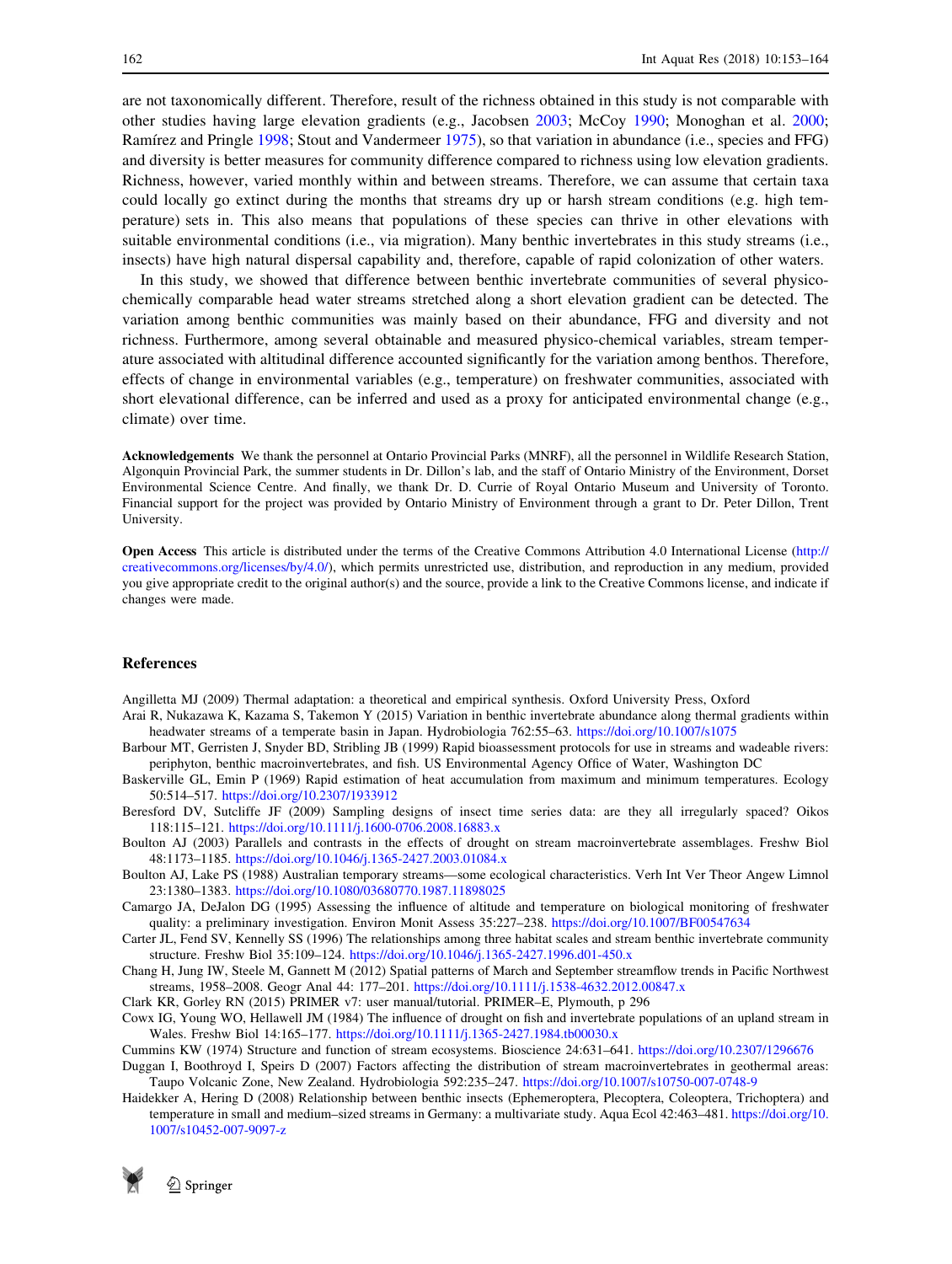<span id="page-9-0"></span>are not taxonomically different. Therefore, result of the richness obtained in this study is not comparable with other studies having large elevation gradients (e.g., Jacobsen [2003](#page-10-0); McCoy [1990](#page-10-0); Monoghan et al. [2000;](#page-10-0) Ramírez and Pringle [1998](#page-10-0); Stout and Vandermeer [1975](#page-11-0)), so that variation in abundance (i.e., species and FFG) and diversity is better measures for community difference compared to richness using low elevation gradients. Richness, however, varied monthly within and between streams. Therefore, we can assume that certain taxa could locally go extinct during the months that streams dry up or harsh stream conditions (e.g. high temperature) sets in. This also means that populations of these species can thrive in other elevations with suitable environmental conditions (i.e., via migration). Many benthic invertebrates in this study streams (i.e., insects) have high natural dispersal capability and, therefore, capable of rapid colonization of other waters.

In this study, we showed that difference between benthic invertebrate communities of several physicochemically comparable head water streams stretched along a short elevation gradient can be detected. The variation among benthic communities was mainly based on their abundance, FFG and diversity and not richness. Furthermore, among several obtainable and measured physico-chemical variables, stream temperature associated with altitudinal difference accounted significantly for the variation among benthos. Therefore, effects of change in environmental variables (e.g., temperature) on freshwater communities, associated with short elevational difference, can be inferred and used as a proxy for anticipated environmental change (e.g., climate) over time.

Acknowledgements We thank the personnel at Ontario Provincial Parks (MNRF), all the personnel in Wildlife Research Station, Algonquin Provincial Park, the summer students in Dr. Dillon's lab, and the staff of Ontario Ministry of the Environment, Dorset Environmental Science Centre. And finally, we thank Dr. D. Currie of Royal Ontario Museum and University of Toronto. Financial support for the project was provided by Ontario Ministry of Environment through a grant to Dr. Peter Dillon, Trent University.

Open Access This article is distributed under the terms of the Creative Commons Attribution 4.0 International License [\(http://](http://creativecommons.org/licenses/by/4.0/) [creativecommons.org/licenses/by/4.0/](http://creativecommons.org/licenses/by/4.0/)), which permits unrestricted use, distribution, and reproduction in any medium, provided you give appropriate credit to the original author(s) and the source, provide a link to the Creative Commons license, and indicate if changes were made.

#### References

Angilletta MJ (2009) Thermal adaptation: a theoretical and empirical synthesis. Oxford University Press, Oxford

- Arai R, Nukazawa K, Kazama S, Takemon Y (2015) Variation in benthic invertebrate abundance along thermal gradients within headwater streams of a temperate basin in Japan. Hydrobiologia 762:55–63. <https://doi.org/10.1007/s1075>
- Barbour MT, Gerristen J, Snyder BD, Stribling JB (1999) Rapid bioassessment protocols for use in streams and wadeable rivers: periphyton, benthic macroinvertebrates, and fish. US Environmental Agency Office of Water, Washington DC
- Baskerville GL, Emin P (1969) Rapid estimation of heat accumulation from maximum and minimum temperatures. Ecology 50:514–517. <https://doi.org/10.2307/1933912>
- Beresford DV, Sutcliffe JF (2009) Sampling designs of insect time series data: are they all irregularly spaced? Oikos 118:115–121. <https://doi.org/10.1111/j.1600-0706.2008.16883.x>
- Boulton AJ (2003) Parallels and contrasts in the effects of drought on stream macroinvertebrate assemblages. Freshw Biol 48:1173–1185. <https://doi.org/10.1046/j.1365-2427.2003.01084.x>
- Boulton AJ, Lake PS (1988) Australian temporary streams—some ecological characteristics. Verh Int Ver Theor Angew Limnol 23:1380–1383. <https://doi.org/10.1080/03680770.1987.11898025>
- Camargo JA, DeJalon DG (1995) Assessing the influence of altitude and temperature on biological monitoring of freshwater quality: a preliminary investigation. Environ Monit Assess 35:227–238. <https://doi.org/10.1007/BF00547634>
- Carter JL, Fend SV, Kennelly SS (1996) The relationships among three habitat scales and stream benthic invertebrate community structure. Freshw Biol 35:109–124. <https://doi.org/10.1046/j.1365-2427.1996.d01-450.x>
- Chang H, Jung IW, Steele M, Gannett M (2012) Spatial patterns of March and September streamflow trends in Pacific Northwest streams, 1958–2008. Geogr Anal 44: 177–201. <https://doi.org/10.1111/j.1538-4632.2012.00847.x>
- Clark KR, Gorley RN (2015) PRIMER v7: user manual/tutorial. PRIMER–E, Plymouth, p 296
- Cowx IG, Young WO, Hellawell JM (1984) The influence of drought on fish and invertebrate populations of an upland stream in Wales. Freshw Biol 14:165–177. <https://doi.org/10.1111/j.1365-2427.1984.tb00030.x>
- Cummins KW (1974) Structure and function of stream ecosystems. Bioscience 24:631–641. <https://doi.org/10.2307/1296676>
- Duggan I, Boothroyd I, Speirs D (2007) Factors affecting the distribution of stream macroinvertebrates in geothermal areas: Taupo Volcanic Zone, New Zealand. Hydrobiologia 592:235–247. <https://doi.org/10.1007/s10750-007-0748-9>
- Haidekker A, Hering D (2008) Relationship between benthic insects (Ephemeroptera, Plecoptera, Coleoptera, Trichoptera) and temperature in small and medium–sized streams in Germany: a multivariate study. Aqua Ecol 42:463–481. [https://doi.org/10.](https://doi.org/10.1007/s10452-007-9097-z) [1007/s10452-007-9097-z](https://doi.org/10.1007/s10452-007-9097-z)

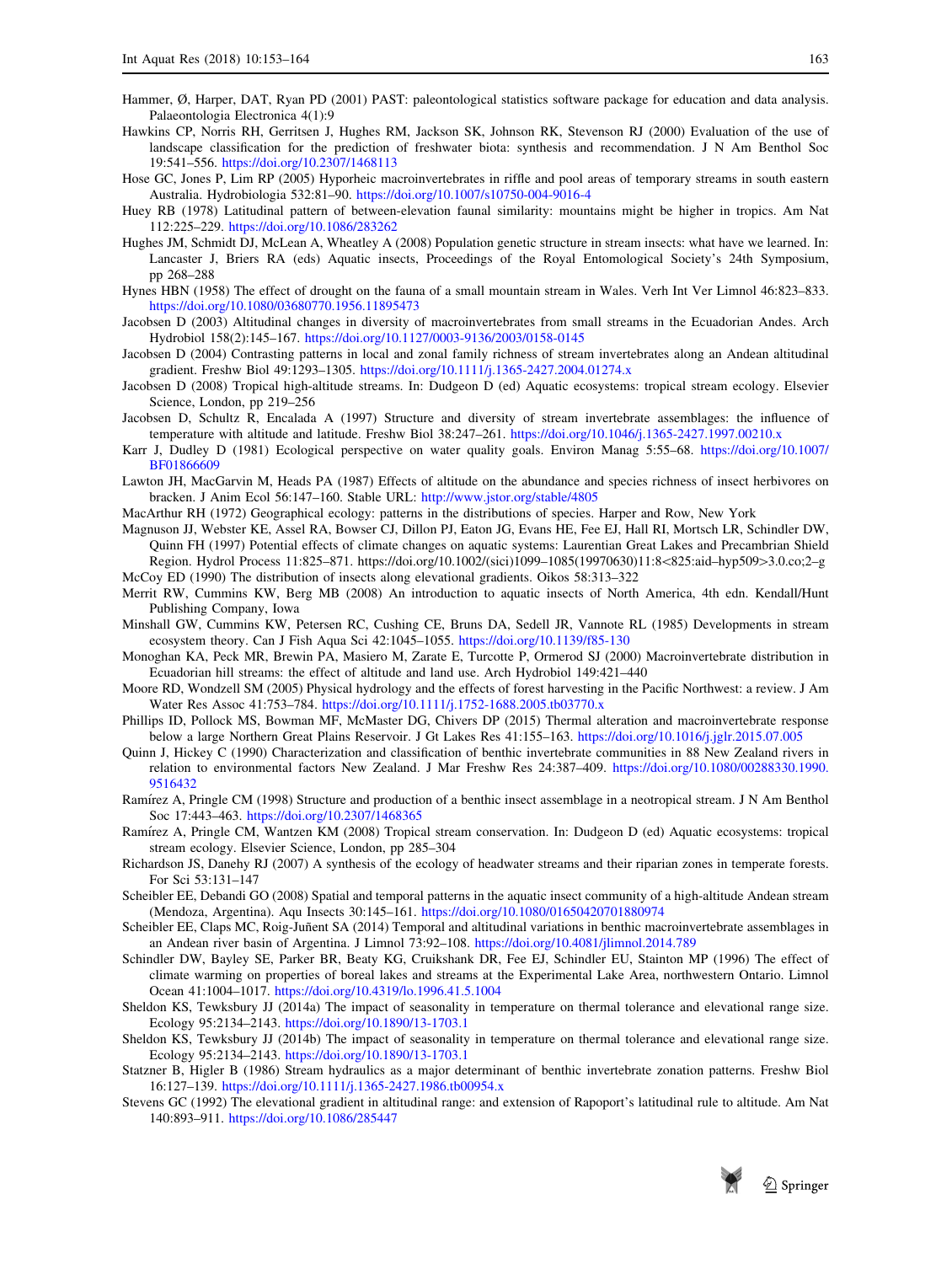- <span id="page-10-0"></span>Hammer, Ø, Harper, DAT, Ryan PD (2001) PAST: paleontological statistics software package for education and data analysis. Palaeontologia Electronica 4(1):9
- Hawkins CP, Norris RH, Gerritsen J, Hughes RM, Jackson SK, Johnson RK, Stevenson RJ (2000) Evaluation of the use of landscape classification for the prediction of freshwater biota: synthesis and recommendation. J N Am Benthol Soc 19:541–556. <https://doi.org/10.2307/1468113>
- Hose GC, Jones P, Lim RP (2005) Hyporheic macroinvertebrates in riffle and pool areas of temporary streams in south eastern Australia. Hydrobiologia 532:81–90. <https://doi.org/10.1007/s10750-004-9016-4>
- Huey RB (1978) Latitudinal pattern of between-elevation faunal similarity: mountains might be higher in tropics. Am Nat 112:225–229. <https://doi.org/10.1086/283262>
- Hughes JM, Schmidt DJ, McLean A, Wheatley A (2008) Population genetic structure in stream insects: what have we learned. In: Lancaster J, Briers RA (eds) Aquatic insects, Proceedings of the Royal Entomological Society's 24th Symposium, pp 268–288
- Hynes HBN (1958) The effect of drought on the fauna of a small mountain stream in Wales. Verh Int Ver Limnol 46:823–833. <https://doi.org/10.1080/03680770.1956.11895473>
- Jacobsen D (2003) Altitudinal changes in diversity of macroinvertebrates from small streams in the Ecuadorian Andes. Arch Hydrobiol 158(2):145–167. <https://doi.org/10.1127/0003-9136/2003/0158-0145>
- Jacobsen D (2004) Contrasting patterns in local and zonal family richness of stream invertebrates along an Andean altitudinal gradient. Freshw Biol 49:1293–1305. <https://doi.org/10.1111/j.1365-2427.2004.01274.x>
- Jacobsen D (2008) Tropical high-altitude streams. In: Dudgeon D (ed) Aquatic ecosystems: tropical stream ecology. Elsevier Science, London, pp 219–256
- Jacobsen D, Schultz R, Encalada A (1997) Structure and diversity of stream invertebrate assemblages: the influence of temperature with altitude and latitude. Freshw Biol 38:247–261. <https://doi.org/10.1046/j.1365-2427.1997.00210.x>
- Karr J, Dudley D (1981) Ecological perspective on water quality goals. Environ Manag 5:55–68. [https://doi.org/10.1007/](https://doi.org/10.1007/BF01866609) [BF01866609](https://doi.org/10.1007/BF01866609)
- Lawton JH, MacGarvin M, Heads PA (1987) Effects of altitude on the abundance and species richness of insect herbivores on bracken. J Anim Ecol 56:147–160. Stable URL: <http://www.jstor.org/stable/4805>
- MacArthur RH (1972) Geographical ecology: patterns in the distributions of species. Harper and Row, New York
- Magnuson JJ, Webster KE, Assel RA, Bowser CJ, Dillon PJ, Eaton JG, Evans HE, Fee EJ, Hall RI, Mortsch LR, Schindler DW, Quinn FH (1997) Potential effects of climate changes on aquatic systems: Laurentian Great Lakes and Precambrian Shield Region. Hydrol Process 11:825–871. https://doi.org/10.1002/(sici)1099–1085(19970630)11:8<825:aid-hyp509>3.0.co;2–g
- McCoy ED (1990) The distribution of insects along elevational gradients. Oikos 58:313–322
- Merrit RW, Cummins KW, Berg MB (2008) An introduction to aquatic insects of North America, 4th edn. Kendall/Hunt Publishing Company, Iowa
- Minshall GW, Cummins KW, Petersen RC, Cushing CE, Bruns DA, Sedell JR, Vannote RL (1985) Developments in stream ecosystem theory. Can J Fish Aqua Sci 42:1045–1055. <https://doi.org/10.1139/f85-130>
- Monoghan KA, Peck MR, Brewin PA, Masiero M, Zarate E, Turcotte P, Ormerod SJ (2000) Macroinvertebrate distribution in Ecuadorian hill streams: the effect of altitude and land use. Arch Hydrobiol 149:421–440
- Moore RD, Wondzell SM (2005) Physical hydrology and the effects of forest harvesting in the Pacific Northwest: a review. J Am Water Res Assoc 41:753–784. <https://doi.org/10.1111/j.1752-1688.2005.tb03770.x>
- Phillips ID, Pollock MS, Bowman MF, McMaster DG, Chivers DP (2015) Thermal alteration and macroinvertebrate response below a large Northern Great Plains Reservoir. J Gt Lakes Res 41:155–163. <https://doi.org/10.1016/j.jglr.2015.07.005>
- Quinn J, Hickey C (1990) Characterization and classification of benthic invertebrate communities in 88 New Zealand rivers in relation to environmental factors New Zealand. J Mar Freshw Res 24:387–409. [https://doi.org/10.1080/00288330.1990.](https://doi.org/10.1080/00288330.1990.9516432) [9516432](https://doi.org/10.1080/00288330.1990.9516432)
- Ramírez A, Pringle CM (1998) Structure and production of a benthic insect assemblage in a neotropical stream. J N Am Benthol Soc 17:443–463. <https://doi.org/10.2307/1468365>
- Ramı´rez A, Pringle CM, Wantzen KM (2008) Tropical stream conservation. In: Dudgeon D (ed) Aquatic ecosystems: tropical stream ecology. Elsevier Science, London, pp 285–304
- Richardson JS, Danehy RJ (2007) A synthesis of the ecology of headwater streams and their riparian zones in temperate forests. For Sci 53:131–147
- Scheibler EE, Debandi GO (2008) Spatial and temporal patterns in the aquatic insect community of a high-altitude Andean stream (Mendoza, Argentina). Aqu Insects 30:145–161. <https://doi.org/10.1080/01650420701880974>
- Scheibler EE, Claps MC, Roig-Juñent SA (2014) Temporal and altitudinal variations in benthic macroinvertebrate assemblages in an Andean river basin of Argentina. J Limnol 73:92–108. <https://doi.org/10.4081/jlimnol.2014.789>
- Schindler DW, Bayley SE, Parker BR, Beaty KG, Cruikshank DR, Fee EJ, Schindler EU, Stainton MP (1996) The effect of climate warming on properties of boreal lakes and streams at the Experimental Lake Area, northwestern Ontario. Limnol Ocean 41:1004–1017. <https://doi.org/10.4319/lo.1996.41.5.1004>
- Sheldon KS, Tewksbury JJ (2014a) The impact of seasonality in temperature on thermal tolerance and elevational range size. Ecology 95:2134–2143. <https://doi.org/10.1890/13-1703.1>
- Sheldon KS, Tewksbury JJ (2014b) The impact of seasonality in temperature on thermal tolerance and elevational range size. Ecology 95:2134–2143. <https://doi.org/10.1890/13-1703.1>
- Statzner B, Higler B (1986) Stream hydraulics as a major determinant of benthic invertebrate zonation patterns. Freshw Biol 16:127–139. <https://doi.org/10.1111/j.1365-2427.1986.tb00954.x>
- Stevens GC (1992) The elevational gradient in altitudinal range: and extension of Rapoport's latitudinal rule to altitude. Am Nat 140:893–911. <https://doi.org/10.1086/285447>